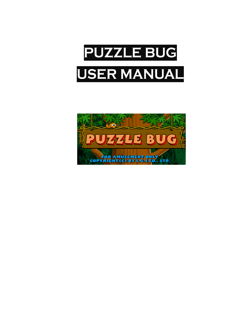

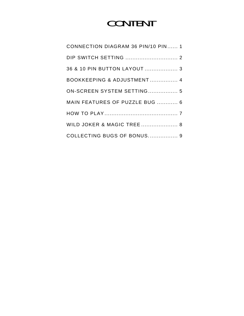# CONTENT

| CONNECTION DIAGRAM 36 PIN/10 PIN 1 |
|------------------------------------|
|                                    |
| 36 & 10 PIN BUTTON LAYOUT  3       |
| BOOKKEEPING & ADJUSTMENT 4         |
| ON-SCREEN SYSTEM SETTING 5         |
| MAIN FEATURES OF PUZZLE BUG  6     |
|                                    |
| WILD JOKER & MAGIC TREE  8         |
| COLLECTING BUGS OF BONUS 9         |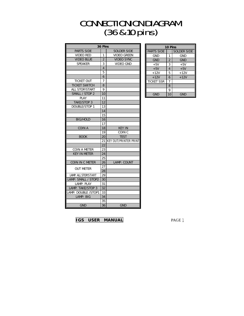## **CONNECTIONION DIAGRAM** (36&10pins)

| 36 Pins                                 |                |                              |  |  |  |  |  |
|-----------------------------------------|----------------|------------------------------|--|--|--|--|--|
| <b>PARTS SIDE</b><br><b>SOLDER SIDE</b> |                |                              |  |  |  |  |  |
| <b>VIDEO RED</b>                        | 1              | <b>VIDEO GREEN</b>           |  |  |  |  |  |
| <b>VIDEO BLUE</b>                       | $\overline{2}$ | <b>VIDEO SYNC</b>            |  |  |  |  |  |
| <b>SPEAKER</b>                          | 3              | <b>VIDEO GND</b>             |  |  |  |  |  |
|                                         | $\overline{4}$ |                              |  |  |  |  |  |
|                                         | 5              |                              |  |  |  |  |  |
|                                         | 6              |                              |  |  |  |  |  |
| <b>TICKET OUT</b>                       | 7              |                              |  |  |  |  |  |
| <b>TICKET SWITCH</b>                    | 8              |                              |  |  |  |  |  |
| ALL STOP/START                          | 9              |                              |  |  |  |  |  |
| SMALL / STOP 2                          | 10             |                              |  |  |  |  |  |
| <b>PLAY</b>                             | 11             |                              |  |  |  |  |  |
| <b>TAKE/STOP 3</b>                      | 12             |                              |  |  |  |  |  |
| <b>DOUBLE/STOP 1</b>                    | 13             |                              |  |  |  |  |  |
|                                         | 14             |                              |  |  |  |  |  |
|                                         | 15             |                              |  |  |  |  |  |
| <b>BIG/HOLD</b>                         | 16             |                              |  |  |  |  |  |
|                                         | 17             |                              |  |  |  |  |  |
| <b>COIN A</b>                           | 18             | <b>KEY IN</b>                |  |  |  |  |  |
|                                         | 19             | COIN <sub>C</sub>            |  |  |  |  |  |
| <b>BOOK</b>                             | 20             | <b>TEST</b>                  |  |  |  |  |  |
|                                         | 21             | <b>KEY OUT/PRINTER PRINT</b> |  |  |  |  |  |
|                                         | 22             |                              |  |  |  |  |  |
| <b>COIN A METER</b>                     | 23             |                              |  |  |  |  |  |
| <b>KEY IN METER</b>                     | 24             |                              |  |  |  |  |  |
|                                         | 25             |                              |  |  |  |  |  |
| COIN IN C METER                         | 26             | LAMP: COUNT                  |  |  |  |  |  |
| <b>OUT METER</b>                        | 27             |                              |  |  |  |  |  |
|                                         | 28             |                              |  |  |  |  |  |
| LAMP: ALL STOP/START                    | 29             |                              |  |  |  |  |  |
| LAMP: SMALL / STOP2                     | 30             |                              |  |  |  |  |  |
| LAMP: PLAY                              | 31             |                              |  |  |  |  |  |
| LAMP: TAKE/STOP 3                       | 32             |                              |  |  |  |  |  |
| LAMP: DOUBLE /STOP1                     | 33             |                              |  |  |  |  |  |
| LAMP: BIG                               | 34             |                              |  |  |  |  |  |
|                                         | 35             |                              |  |  |  |  |  |
| <b>GND</b>                              | 36             | <b>GND</b>                   |  |  |  |  |  |

| 10 Pins           |                |                    |  |  |  |  |  |
|-------------------|----------------|--------------------|--|--|--|--|--|
| <b>PARTS SIDE</b> |                | <b>SOLDER SIDE</b> |  |  |  |  |  |
| <b>GND</b>        | 1              | GND                |  |  |  |  |  |
| <b>GND</b>        | $\overline{2}$ | <b>GND</b>         |  |  |  |  |  |
| $+5V$             | 3              | $+5V$              |  |  |  |  |  |
| $+5V$             | 4              | $+5V$              |  |  |  |  |  |
| $+12V$            | 5              | $+12V$             |  |  |  |  |  |
| $+12V$            | 6              | $+12V$             |  |  |  |  |  |
| <b>TICKET SSR</b> | 7              |                    |  |  |  |  |  |
|                   | 8              |                    |  |  |  |  |  |
|                   | 9              |                    |  |  |  |  |  |
| gnd               | 10             | GND                |  |  |  |  |  |

**IGS USER MANUAL** PAGE 1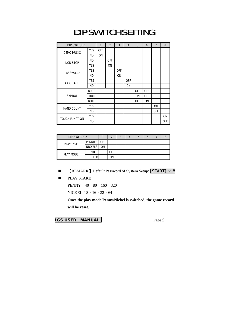### DIP SWITCH SETTING

| DIP SWITCH 1          |              | 1          | $\overline{2}$ | 3          | 4              | 5          | 6          | $\overline{7}$ | 8          |
|-----------------------|--------------|------------|----------------|------------|----------------|------------|------------|----------------|------------|
| <b>DEMO MUSIC</b>     | <b>YES</b>   | <b>OFF</b> |                |            |                |            |            |                |            |
|                       | NO           | <b>ON</b>  |                |            |                |            |            |                |            |
|                       | NO.          |            | <b>OFF</b>     |            |                |            |            |                |            |
| <b>NON STOP</b>       | <b>YES</b>   |            | <b>ON</b>      |            |                |            |            |                |            |
|                       | <b>YES</b>   |            |                | <b>OFF</b> |                |            |            |                |            |
| PASSWORD              | NO.          |            |                | ON         |                |            |            |                |            |
| <b>ODDS TABLE</b>     | <b>YES</b>   |            |                |            | <b>OFF</b>     |            |            |                |            |
|                       | NO.          |            |                |            | 0 <sub>N</sub> |            |            |                |            |
|                       | <b>BUGS</b>  |            |                |            |                | <b>OFF</b> | <b>OFF</b> |                |            |
| <b>SYMBOL</b>         | <b>FRUIT</b> |            |                |            |                | <b>ON</b>  | <b>OFF</b> |                |            |
|                       | <b>BOTH</b>  |            |                |            |                | <b>OFF</b> | <b>ON</b>  |                |            |
| <b>HAND COUNT</b>     | <b>YES</b>   |            |                |            |                |            |            | <b>ON</b>      |            |
|                       | NO.          |            |                |            |                |            |            | <b>OFF</b>     |            |
| <b>TOUCH FUNCTION</b> | <b>YES</b>   |            |                |            |                |            |            |                | <b>ON</b>  |
|                       | NO.          |            |                |            |                |            |            |                | <b>OFF</b> |

| DIP SWITCH 2 |                |           |            |  |  |  |
|--------------|----------------|-----------|------------|--|--|--|
| PLAY TYPE    | PENNIES OFF    |           |            |  |  |  |
|              | <b>NICKELS</b> | <b>ON</b> |            |  |  |  |
| PLAY MODE    | <b>SPIN</b>    |           | <b>OFF</b> |  |  |  |
|              | <b>SHUTTER</b> |           | ΟN         |  |  |  |

- 【REMARK】Default Password of System Setup: [START] × 8
- **PLAY STAKE:**

PENNY:40、80、160、320

NICKEL:8、16、32、64

**Once the play mode Penny/Nickel is switched, the game record will be reset.**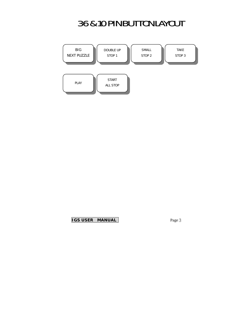## 36&10PINBUTTONLAYOUT

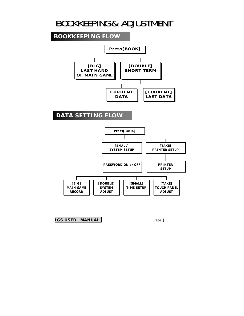#### BOOKKEEPING& ADJUSTMENT

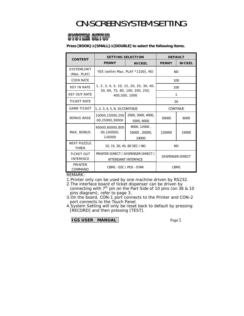### ON-SCREEN SYSTEM SETTING

#### **SYSTEM SETUP**

**Press [BOOK]→[SMALL]→[DOUBLE] to select the following items.** 

| <b>CONTENT</b>                        | <b>SETTING SELECTION</b>                                   | <b>DEFAULT</b>                         |              |               |  |                                       |  |  |
|---------------------------------------|------------------------------------------------------------|----------------------------------------|--------------|---------------|--|---------------------------------------|--|--|
|                                       | <b>PENNY</b>                                               | <b>NICKEL</b>                          | <b>PENNY</b> | <b>NICKEL</b> |  |                                       |  |  |
| <b>SYSTEMLIMIT</b><br>(Max. PLAY)     | YES (within Max. PLAY *1100), NO                           | <b>NO</b>                              |              |               |  |                                       |  |  |
| <b>COIN RATE</b>                      |                                                            | 100                                    |              |               |  |                                       |  |  |
| <b>KEY IN RATE</b>                    |                                                            | 1, 2, 3, 4, 5, 10, 15, 20, 25, 30, 40, |              |               |  | 100<br>50, 60, 75, 80, 100, 200, 250, |  |  |
| <b>KEY OUT RATE</b>                   | 400,500, 1000                                              | 1                                      |              |               |  |                                       |  |  |
| <b>TICKET RATE</b>                    |                                                            |                                        |              | 20            |  |                                       |  |  |
| <b>GAME TICKET</b>                    | 1, 2, 3, 4, 5, 8, 10, CONTINUE                             | <b>CONTINUE</b>                        |              |               |  |                                       |  |  |
| <b>BONUS BASE</b>                     | 10000,15000,200<br>00,25000,30000                          | 30000                                  | 6000         |               |  |                                       |  |  |
| MAX. BONUS                            | 40000,60000,800<br>00,100000,<br>120000                    | 8000, 12000,<br>16000, 20000,<br>24000 | 120000       | 24000         |  |                                       |  |  |
| <b>NEXT PUZZLE</b><br><b>TIMER</b>    | 10, 15, 30, 45, 60 SEC / NO                                |                                        | <b>NO</b>    |               |  |                                       |  |  |
| <b>TICKET OUT</b><br><b>INTERFACE</b> | PRINTER DIRECT / DISPENSER DIRECT /<br>ATTENDANT INTERFACE | <b>DISPENSER DIRECT</b>                |              |               |  |                                       |  |  |
| <b>PRINTER</b><br>COMMAND             | CBM1 · ESC / POS · STAR                                    | C <sub>BM1</sub>                       |              |               |  |                                       |  |  |

REMARK:

1.Printer only can be used by one machine driven by RS232.

2.The interface board of ticket dispenser can be driven by connecting with  $7<sup>th</sup>$  pin on the Part Side of 10 pins (on 36 & 10 pins diagram), refer to page 3.

3.On the board, CON-1 port connects to the Printer and CON-2 port connects to the Touch Panel.

4.System Setting will only be reset back to default by pressing [RECORD] and then pressing [TEST].

**IGS USER MANUAL**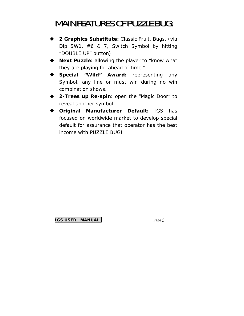#### **MAIN FEATURES OF PUZZLE BUG:**

- **2 Graphics Substitute:** Classic Fruit, Bugs. (via Dip SW1, #6 & 7, Switch Symbol by hitting "DOUBLE UP" button)
- ◆ **Next Puzzle:** allowing the player to "know what they are playing for ahead of time."
- **Special "Wild" Award:** representing any Symbol, any line or must win during no win combination shows.
- ◆ 2-Trees up Re-spin: open the "Magic Door" to reveal another symbol.
- **Original Manufacturer Default:** IGS has focused on worldwide market to develop special default for assurance that operator has the best income with PUZZLE BUG!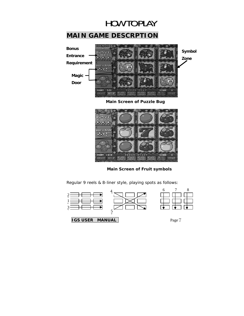

#### **MAIN GAME DESCRPTION**



**Main Screen of Puzzle Bug** 



**Main Screen of Fruit symbols** 



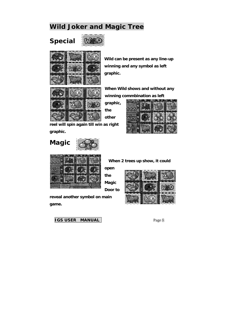#### **Wild Joker and Magic Tree**

**Special** 





**Wild can be present as any line-up winning and any symbol as left graphic.** 



**When Wild shows and without any winning commbination as left** 

**graphic,** 

**the other** 



**reel will spin again till win as right graphic.** 

# **Magic**



 **When 2 trees up show, it could** 

**open the Magic** 

**Door to** 

**reveal another symbol on main game.** 

**IGS USER MANUAL** Page 8